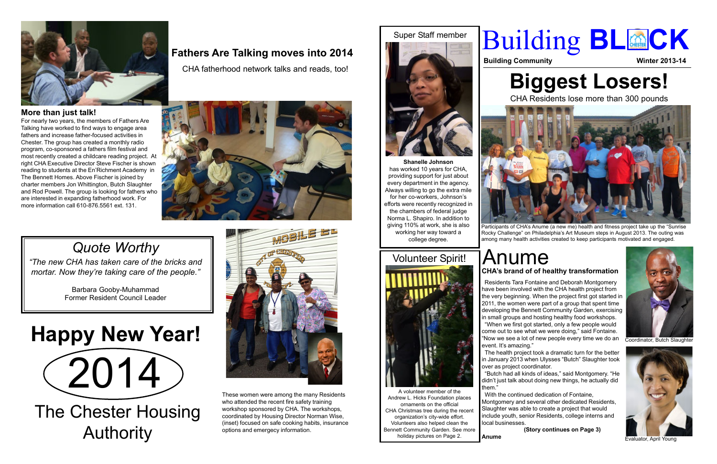# **Biggest Losers!**

CHA Residents lose more than 300 pounds



A volunteer member of the Andrew L. Hicks Foundation places ornaments on the official CHA Christmas tree during the recent organization's city-wide effort. Volunteers also helped clean the Bennett Community Garden. See more holiday pictures on Page 2.

**Shanelle Johnson** has worked 10 years for CHA, providing support for just about every department in the agency. Always willing to go the extra mile for her co-workers, Johnson's efforts were recently recognized in the chambers of federal judge Norma L. Shapiro. In addition to giving 110% at work, she is also working her way toward a college degree.









### **More than just talk!**

For nearly two years, the members of Fathers Are Talking have worked to find ways to engage area fathers and increase father-focused activities in Chester. The group has created a monthly radio program, co-sponsored a fathers film festival and most recently created a childcare reading project. At right CHA Executive Director Steve Fischer is shown reading to students at the En'Richment Academy in The Bennett Homes. Above Fischer is joined by charter members Jon Whittington, Butch Slaughter and Rod Powell. The group is looking for fathers who are interested in expanding fatherhood work. For more information call 610-876.5561 ext. 131.

> The health project took a dramatic turn for the better in January 2013 when Ulysses "Butch" Slaughter took over as project coordinator.<br>"Butch had all kinds of ideas," said Montgomery. "He

These women were among the many Residents who attended the recent fire safety training workshop sponsored by CHA. The workshops, coordinated by Housing Director Norman Wise, (inset) focused on safe cooking habits, insurance options and emergecy information.

# $(2014)$ **Happy New Year!**



Evaluator, April Young



Coordinator, Butch Slaughter

Participants of CHA's Anume (a new me) health and fitness project take up the "Sunrise Rocky Challenge" on Philadelphia's Art Museum steps in August 2013. The outing was among many health activities created to keep participants motivated and engaged.

### Anume **CHA's brand of of healthy transformation**

 Residents Tara Fontaine and Deborah Montgomery have been involved with the CHA health project from the very beginning. When the project first got started in 2011, the women were part of a group that spent time developing the Bennett Community Garden, exercising in small groups and hosting healthy food workshops. "When we first got started, only a few people would come out to see what we were doing," said Fontaine. "Now we see a lot of new people every time we do an event. It's amazing."

didn't just talk about doing new things, he actually did

them."

 With the continued dedication of Fontaine, Montgomery and several other dedicated Residents, Slaughter was able to create a project that would include youth, senior Residents, college interns and local businesses. **(Story continues on Page 3)**

**Anume**

# **Building BL@CK**

**Building Community <b>Winter 2013-14** 

CHA fatherhood network talks and reads, too!



### **Fathers Are Talking moves into 2014**

## *Quote Worthy*

*"The new CHA has taken care of the bricks and mortar. Now they're taking care of the people."*

> Barbara Gooby-Muhammad Former Resident Council Leader

The Chester Housing Authority